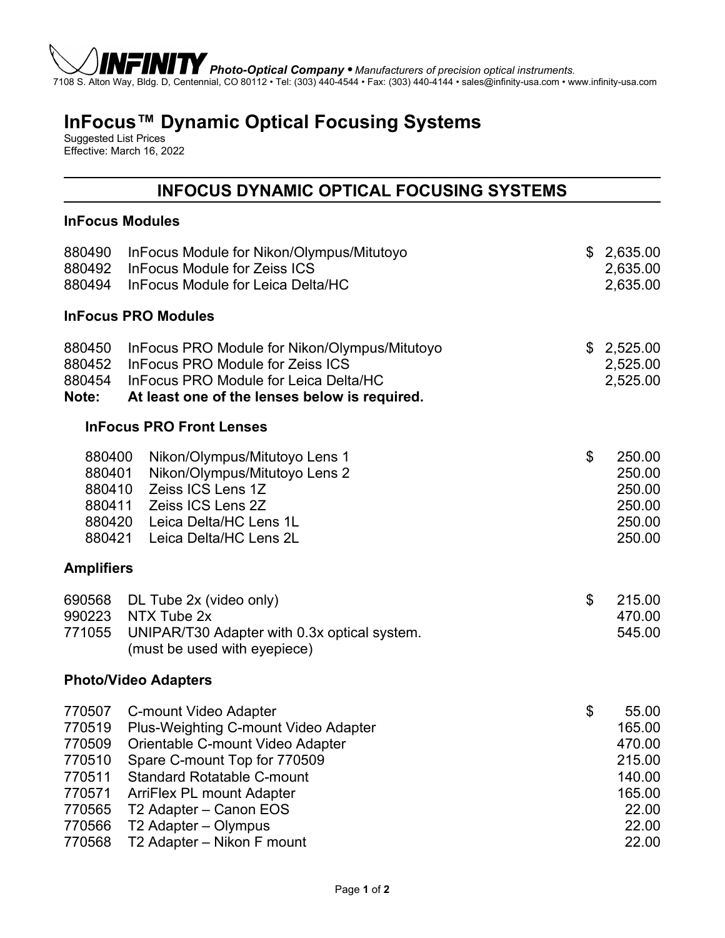

*Photo-Optical Company* • *Manufacturers of precision optical instruments.* 7108 S. Alton Way, Bldg. D, Centennial, CO 80112 • Tel: (303) 440-4544 • Fax: (303) 440-4144 • sales@infinity-usa.com • www.infinity-usa.com

# **InFocus™ Dynamic Optical Focusing Systems**

Suggested List Prices Effective: March 16, 2022

# **INFOCUS DYNAMIC OPTICAL FOCUSING SYSTEMS**

#### **InFocus Modules**

| 880490<br>880492<br>880494                                                             | InFocus Module for Nikon/Olympus/Mitutoyo<br><b>InFocus Module for Zeiss ICS</b><br>InFocus Module for Leica Delta/HC                                                                                                                                                                             | \$<br>2,635.00<br>2,635.00<br>2,635.00                                                   |
|----------------------------------------------------------------------------------------|---------------------------------------------------------------------------------------------------------------------------------------------------------------------------------------------------------------------------------------------------------------------------------------------------|------------------------------------------------------------------------------------------|
|                                                                                        | <b>InFocus PRO Modules</b>                                                                                                                                                                                                                                                                        |                                                                                          |
| 880450<br>880452<br>880454<br>Note:                                                    | InFocus PRO Module for Nikon/Olympus/Mitutoyo<br><b>InFocus PRO Module for Zeiss ICS</b><br>InFocus PRO Module for Leica Delta/HC<br>At least one of the lenses below is required.                                                                                                                | \$2,525.00<br>2,525.00<br>2,525.00                                                       |
|                                                                                        | <b>InFocus PRO Front Lenses</b>                                                                                                                                                                                                                                                                   |                                                                                          |
| 880400<br>880401<br>880410<br>880411<br>880420<br>880421                               | Nikon/Olympus/Mitutoyo Lens 1<br>Nikon/Olympus/Mitutoyo Lens 2<br>Zeiss ICS Lens 1Z<br>Zeiss ICS Lens 2Z<br>Leica Delta/HC Lens 1L<br>Leica Delta/HC Lens 2L                                                                                                                                      | \$<br>250.00<br>250.00<br>250.00<br>250.00<br>250.00<br>250.00                           |
| <b>Amplifiers</b>                                                                      |                                                                                                                                                                                                                                                                                                   |                                                                                          |
| 690568<br>990223<br>771055                                                             | DL Tube 2x (video only)<br>NTX Tube 2x<br>UNIPAR/T30 Adapter with 0.3x optical system.<br>(must be used with eyepiece)                                                                                                                                                                            | \$<br>215.00<br>470.00<br>545.00                                                         |
|                                                                                        | <b>Photo/Video Adapters</b>                                                                                                                                                                                                                                                                       |                                                                                          |
| 770507<br>770519<br>770509<br>770510<br>770511<br>770571<br>770565<br>770566<br>770568 | <b>C-mount Video Adapter</b><br>Plus-Weighting C-mount Video Adapter<br>Orientable C-mount Video Adapter<br>Spare C-mount Top for 770509<br><b>Standard Rotatable C-mount</b><br><b>ArriFlex PL mount Adapter</b><br>T2 Adapter - Canon EOS<br>T2 Adapter - Olympus<br>T2 Adapter - Nikon F mount | \$<br>55.00<br>165.00<br>470.00<br>215.00<br>140.00<br>165.00<br>22.00<br>22.00<br>22.00 |